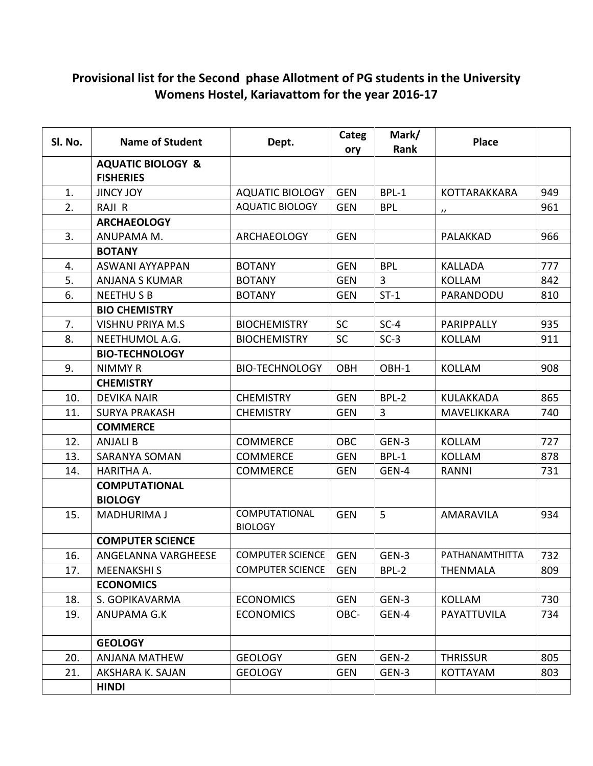## Provisional list for the Second phase Allotment of PG students in the University Womens Hostel, Kariavattom for the year 2016-17

| Sl. No. | <b>Name of Student</b>                           | Dept.                           | Categ<br>ory | Mark/<br>Rank  | <b>Place</b>      |     |
|---------|--------------------------------------------------|---------------------------------|--------------|----------------|-------------------|-----|
|         | <b>AQUATIC BIOLOGY &amp;</b><br><b>FISHERIES</b> |                                 |              |                |                   |     |
| 1.      | <b>JINCY JOY</b>                                 | <b>AQUATIC BIOLOGY</b>          | <b>GEN</b>   | BPL-1          | KOTTARAKKARA      | 949 |
| 2.      | RAJI R                                           | <b>AQUATIC BIOLOGY</b>          | <b>GEN</b>   | <b>BPL</b>     | $^{\prime\prime}$ | 961 |
|         | <b>ARCHAEOLOGY</b>                               |                                 |              |                |                   |     |
| 3.      | ANUPAMA M.                                       | <b>ARCHAEOLOGY</b>              | <b>GEN</b>   |                | PALAKKAD          | 966 |
|         | <b>BOTANY</b>                                    |                                 |              |                |                   |     |
| 4.      | ASWANI AYYAPPAN                                  | <b>BOTANY</b>                   | <b>GEN</b>   | <b>BPL</b>     | <b>KALLADA</b>    | 777 |
| 5.      | <b>ANJANA S KUMAR</b>                            | <b>BOTANY</b>                   | <b>GEN</b>   | $\overline{3}$ | <b>KOLLAM</b>     | 842 |
| 6.      | <b>NEETHUSB</b>                                  | <b>BOTANY</b>                   | <b>GEN</b>   | $ST-1$         | PARANDODU         | 810 |
|         | <b>BIO CHEMISTRY</b>                             |                                 |              |                |                   |     |
| 7.      | <b>VISHNU PRIYA M.S</b>                          | <b>BIOCHEMISTRY</b>             | <b>SC</b>    | $SC-4$         | PARIPPALLY        | 935 |
| 8.      | NEETHUMOL A.G.                                   | <b>BIOCHEMISTRY</b>             | <b>SC</b>    | $SC-3$         | <b>KOLLAM</b>     | 911 |
|         | <b>BIO-TECHNOLOGY</b>                            |                                 |              |                |                   |     |
| 9.      | <b>NIMMY R</b>                                   | <b>BIO-TECHNOLOGY</b>           | <b>OBH</b>   | OBH-1          | <b>KOLLAM</b>     | 908 |
|         | <b>CHEMISTRY</b>                                 |                                 |              |                |                   |     |
| 10.     | <b>DEVIKA NAIR</b>                               | <b>CHEMISTRY</b>                | <b>GEN</b>   | BPL-2          | <b>KULAKKADA</b>  | 865 |
| 11.     | <b>SURYA PRAKASH</b>                             | <b>CHEMISTRY</b>                | <b>GEN</b>   | 3              | MAVELIKKARA       | 740 |
|         | <b>COMMERCE</b>                                  |                                 |              |                |                   |     |
| 12.     | <b>ANJALI B</b>                                  | <b>COMMERCE</b>                 | <b>OBC</b>   | GEN-3          | <b>KOLLAM</b>     | 727 |
| 13.     | SARANYA SOMAN                                    | <b>COMMERCE</b>                 | <b>GEN</b>   | BPL-1          | <b>KOLLAM</b>     | 878 |
| 14.     | HARITHA A.                                       | <b>COMMERCE</b>                 | <b>GEN</b>   | GEN-4          | RANNI             | 731 |
|         | <b>COMPUTATIONAL</b><br><b>BIOLOGY</b>           |                                 |              |                |                   |     |
| 15.     | <b>MADHURIMA J</b>                               | COMPUTATIONAL<br><b>BIOLOGY</b> | <b>GEN</b>   | 5              | AMARAVILA         | 934 |
|         | <b>COMPUTER SCIENCE</b>                          |                                 |              |                |                   |     |
| 16.     | ANGELANNA VARGHEESE                              | <b>COMPUTER SCIENCE</b>         | <b>GEN</b>   | GEN-3          | PATHANAMTHITTA    | 732 |
| 17.     | <b>MEENAKSHIS</b>                                | <b>COMPUTER SCIENCE</b>         | <b>GEN</b>   | BPL-2          | <b>THENMALA</b>   | 809 |
|         | <b>ECONOMICS</b>                                 |                                 |              |                |                   |     |
| 18.     | S. GOPIKAVARMA                                   | <b>ECONOMICS</b>                | <b>GEN</b>   | GEN-3          | <b>KOLLAM</b>     | 730 |
| 19.     | ANUPAMA G.K                                      | <b>ECONOMICS</b>                | OBC-         | GEN-4          | PAYATTUVILA       | 734 |
|         | <b>GEOLOGY</b>                                   |                                 |              |                |                   |     |
| 20.     | <b>ANJANA MATHEW</b>                             | <b>GEOLOGY</b>                  | <b>GEN</b>   | GEN-2          | <b>THRISSUR</b>   | 805 |
| 21.     | AKSHARA K. SAJAN                                 | <b>GEOLOGY</b>                  | <b>GEN</b>   | GEN-3          | <b>KOTTAYAM</b>   | 803 |
|         | <b>HINDI</b>                                     |                                 |              |                |                   |     |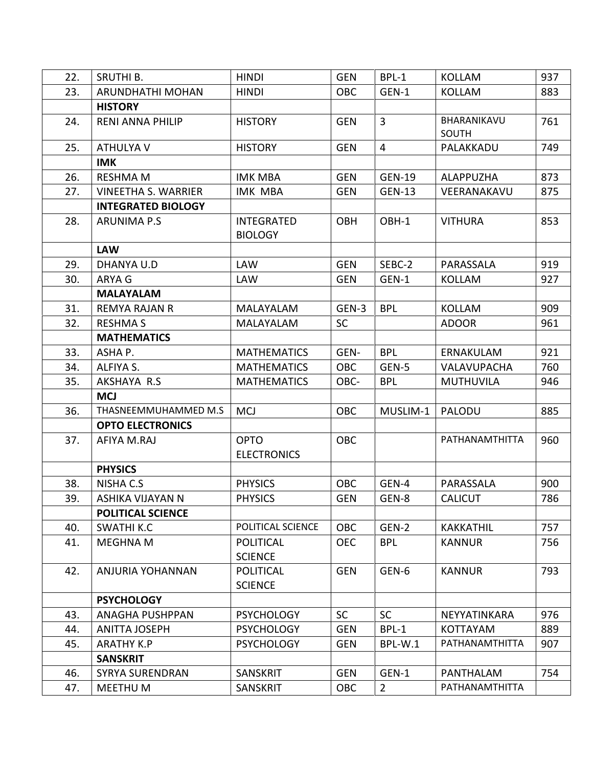| 22. | SRUTHI B.                  | <b>HINDI</b>                        | <b>GEN</b> | BPL-1          | <b>KOLLAM</b>        | 937 |
|-----|----------------------------|-------------------------------------|------------|----------------|----------------------|-----|
| 23. | ARUNDHATHI MOHAN           | <b>HINDI</b>                        | <b>OBC</b> | GEN-1          | <b>KOLLAM</b>        | 883 |
|     | <b>HISTORY</b>             |                                     |            |                |                      |     |
| 24. | <b>RENI ANNA PHILIP</b>    | <b>HISTORY</b>                      | <b>GEN</b> | $\overline{3}$ | BHARANIKAVU<br>SOUTH | 761 |
| 25. | ATHULYA V                  | <b>HISTORY</b>                      | <b>GEN</b> | $\overline{4}$ | PALAKKADU            | 749 |
|     | <b>IMK</b>                 |                                     |            |                |                      |     |
| 26. | <b>RESHMA M</b>            | <b>IMK MBA</b>                      | <b>GEN</b> | <b>GEN-19</b>  | <b>ALAPPUZHA</b>     | 873 |
| 27. | <b>VINEETHA S. WARRIER</b> | <b>IMK MBA</b>                      | <b>GEN</b> | <b>GEN-13</b>  | VEERANAKAVU          | 875 |
|     | <b>INTEGRATED BIOLOGY</b>  |                                     |            |                |                      |     |
| 28. | <b>ARUNIMA P.S</b>         | <b>INTEGRATED</b><br><b>BIOLOGY</b> | <b>OBH</b> | OBH-1          | <b>VITHURA</b>       | 853 |
|     | <b>LAW</b>                 |                                     |            |                |                      |     |
| 29. | DHANYA U.D                 | <b>LAW</b>                          | <b>GEN</b> | SEBC-2         | PARASSALA            | 919 |
| 30. | ARYA G                     | <b>LAW</b>                          | <b>GEN</b> | GEN-1          | <b>KOLLAM</b>        | 927 |
|     | <b>MALAYALAM</b>           |                                     |            |                |                      |     |
| 31. | <b>REMYA RAJAN R</b>       | MALAYALAM                           | GEN-3      | <b>BPL</b>     | <b>KOLLAM</b>        | 909 |
| 32. | <b>RESHMA S</b>            | MALAYALAM                           | <b>SC</b>  |                | <b>ADOOR</b>         | 961 |
|     | <b>MATHEMATICS</b>         |                                     |            |                |                      |     |
| 33. | ASHA P.                    | <b>MATHEMATICS</b>                  | GEN-       | <b>BPL</b>     | ERNAKULAM            | 921 |
| 34. | ALFIYA S.                  | <b>MATHEMATICS</b>                  | <b>OBC</b> | GEN-5          | VALAVUPACHA          | 760 |
| 35. | AKSHAYA R.S                | <b>MATHEMATICS</b>                  | OBC-       | <b>BPL</b>     | <b>MUTHUVILA</b>     | 946 |
|     | <b>MCJ</b>                 |                                     |            |                |                      |     |
| 36. | THASNEEMMUHAMMED M.S       | <b>MCJ</b>                          | <b>OBC</b> | MUSLIM-1       | PALODU               | 885 |
|     | <b>OPTO ELECTRONICS</b>    |                                     |            |                |                      |     |
| 37. | AFIYA M.RAJ                | <b>OPTO</b><br><b>ELECTRONICS</b>   | <b>OBC</b> |                | PATHANAMTHITTA       | 960 |
|     | <b>PHYSICS</b>             |                                     |            |                |                      |     |
| 38. | NISHA C.S                  | <b>PHYSICS</b>                      | <b>OBC</b> | GEN-4          | PARASSALA            | 900 |
| 39. | ASHIKA VIJAYAN N           | <b>PHYSICS</b>                      | <b>GEN</b> | GEN-8          | <b>CALICUT</b>       | 786 |
|     | <b>POLITICAL SCIENCE</b>   |                                     |            |                |                      |     |
| 40. | <b>SWATHI K.C</b>          | POLITICAL SCIENCE                   | <b>OBC</b> | GEN-2          | <b>KAKKATHIL</b>     | 757 |
| 41. | <b>MEGHNA M</b>            | <b>POLITICAL</b><br><b>SCIENCE</b>  | <b>OEC</b> | <b>BPL</b>     | <b>KANNUR</b>        | 756 |
| 42. | ANJURIA YOHANNAN           | <b>POLITICAL</b><br><b>SCIENCE</b>  | <b>GEN</b> | GEN-6          | <b>KANNUR</b>        | 793 |
|     | <b>PSYCHOLOGY</b>          |                                     |            |                |                      |     |
| 43. | <b>ANAGHA PUSHPPAN</b>     | <b>PSYCHOLOGY</b>                   | <b>SC</b>  | <b>SC</b>      | NEYYATINKARA         | 976 |
| 44. | <b>ANITTA JOSEPH</b>       | <b>PSYCHOLOGY</b>                   | <b>GEN</b> | BPL-1          | <b>KOTTAYAM</b>      | 889 |
| 45. | <b>ARATHY K.P</b>          | <b>PSYCHOLOGY</b>                   | <b>GEN</b> | BPL-W.1        | PATHANAMTHITTA       | 907 |
|     | <b>SANSKRIT</b>            |                                     |            |                |                      |     |
| 46. | <b>SYRYA SURENDRAN</b>     | SANSKRIT                            | <b>GEN</b> | GEN-1          | PANTHALAM            | 754 |
| 47. | MEETHU M                   | <b>SANSKRIT</b>                     | <b>OBC</b> | $\overline{2}$ | PATHANAMTHITTA       |     |